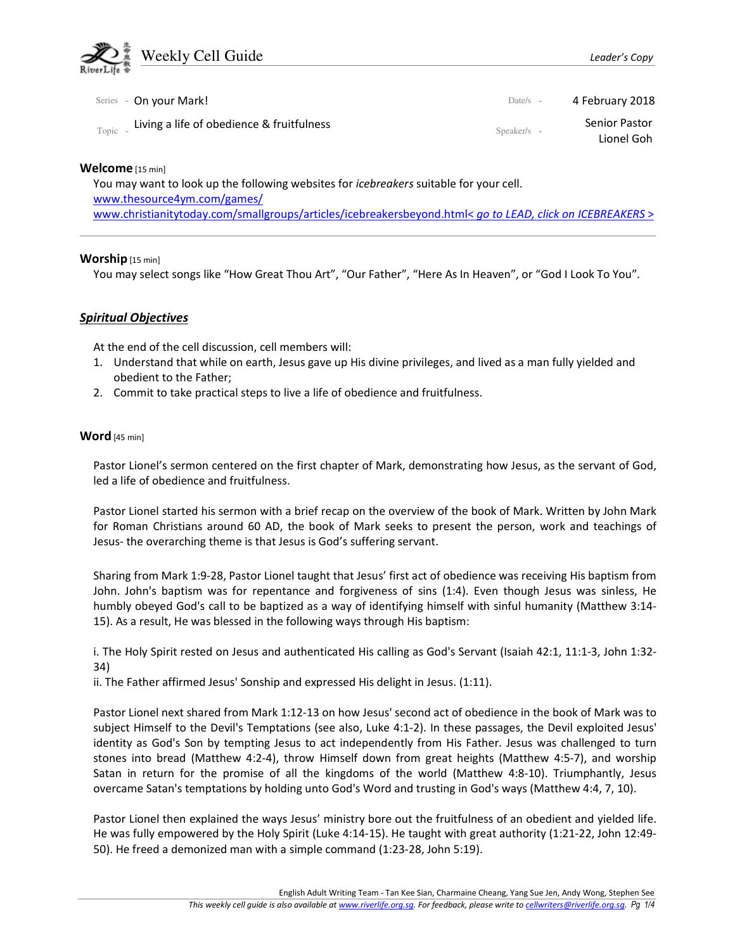

|         | Series - On your Mark!                    | Date/s $-$  | 4 February 2018             |
|---------|-------------------------------------------|-------------|-----------------------------|
| Topic - | Living a life of obedience & fruitfulness | Speaker/s - | Senior Pastor<br>Lionel Goh |

Welcome [15 min]

You may want to look up the following websites for icebreakers suitable for your cell. www.thesource4ym.com/games/ www.christianitytoday.com/smallgroups/articles/icebreakersbeyond.html< go to LEAD, click on ICEBREAKERS >

### Worship [15 min]

You may select songs like "How Great Thou Art", "Our Father", "Here As In Heaven", or "God I Look To You".

# Spiritual Objectives

At the end of the cell discussion, cell members will:

- 1. Understand that while on earth, Jesus gave up His divine privileges, and lived as a man fully yielded and obedient to the Father;
- 2. Commit to take practical steps to live a life of obedience and fruitfulness.

### Word [45 min]

Pastor Lionel's sermon centered on the first chapter of Mark, demonstrating how Jesus, as the servant of God, led a life of obedience and fruitfulness.

Pastor Lionel started his sermon with a brief recap on the overview of the book of Mark. Written by John Mark for Roman Christians around 60 AD, the book of Mark seeks to present the person, work and teachings of Jesus- the overarching theme is that Jesus is God's suffering servant.

Sharing from Mark 1:9-28, Pastor Lionel taught that Jesus' first act of obedience was receiving His baptism from John. John's baptism was for repentance and forgiveness of sins (1:4). Even though Jesus was sinless, He humbly obeyed God's call to be baptized as a way of identifying himself with sinful humanity (Matthew 3:14- 15). As a result, He was blessed in the following ways through His baptism:

i. The Holy Spirit rested on Jesus and authenticated His calling as God's Servant (Isaiah 42:1, 11:1-3, John 1:32- 34)

ii. The Father affirmed Jesus' Sonship and expressed His delight in Jesus. (1:11).

Pastor Lionel next shared from Mark 1:12-13 on how Jesus' second act of obedience in the book of Mark was to subject Himself to the Devil's Temptations (see also, Luke 4:1-2). In these passages, the Devil exploited Jesus' identity as God's Son by tempting Jesus to act independently from His Father. Jesus was challenged to turn stones into bread (Matthew 4:2-4), throw Himself down from great heights (Matthew 4:5-7), and worship Satan in return for the promise of all the kingdoms of the world (Matthew 4:8-10). Triumphantly, Jesus overcame Satan's temptations by holding unto God's Word and trusting in God's ways (Matthew 4:4, 7, 10).

Pastor Lionel then explained the ways Jesus' ministry bore out the fruitfulness of an obedient and yielded life. He was fully empowered by the Holy Spirit (Luke 4:14-15). He taught with great authority (1:21-22, John 12:49- 50). He freed a demonized man with a simple command (1:23-28, John 5:19).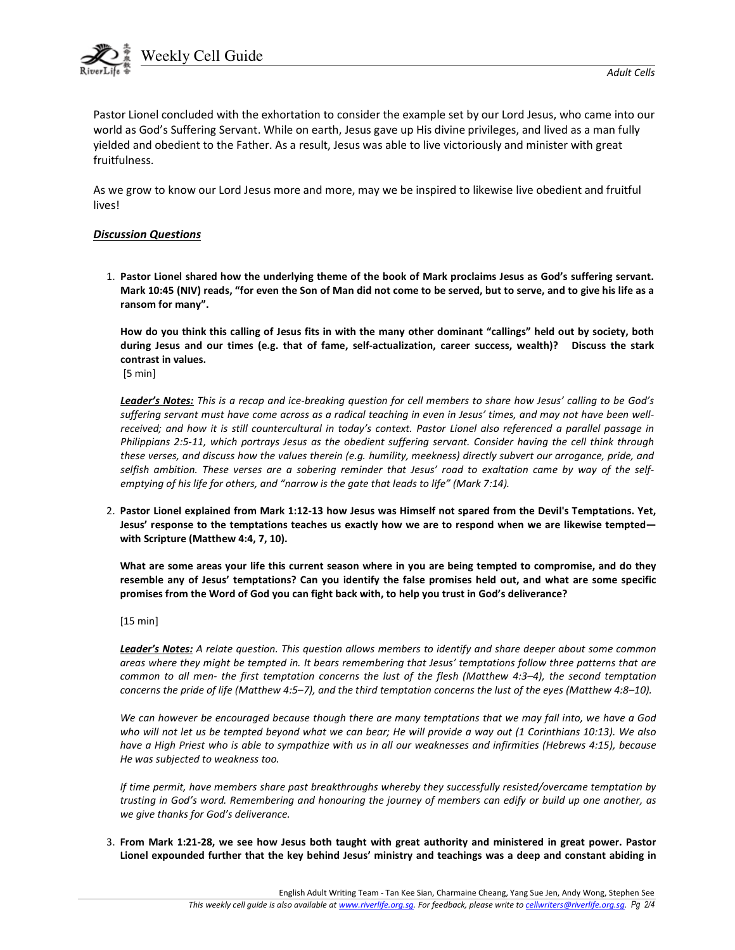

Weekly Cell Guide

Pastor Lionel concluded with the exhortation to consider the example set by our Lord Jesus, who came into our world as God's Suffering Servant. While on earth, Jesus gave up His divine privileges, and lived as a man fully yielded and obedient to the Father. As a result, Jesus was able to live victoriously and minister with great fruitfulness.

As we grow to know our Lord Jesus more and more, may we be inspired to likewise live obedient and fruitful lives!

### Discussion Questions

1. Pastor Lionel shared how the underlying theme of the book of Mark proclaims Jesus as God's suffering servant. Mark 10:45 (NIV) reads, "for even the Son of Man did not come to be served, but to serve, and to give his life as a ransom for many".

How do you think this calling of Jesus fits in with the many other dominant "callings" held out by society, both during Jesus and our times (e.g. that of fame, self-actualization, career success, wealth)? Discuss the stark contrast in values.

[5 min]

Leader's Notes: This is a recap and ice-breaking question for cell members to share how Jesus' calling to be God's suffering servant must have come across as a radical teaching in even in Jesus' times, and may not have been wellreceived; and how it is still countercultural in today's context. Pastor Lionel also referenced a parallel passage in Philippians 2:5-11, which portrays Jesus as the obedient suffering servant. Consider having the cell think through these verses, and discuss how the values therein (e.g. humility, meekness) directly subvert our arrogance, pride, and selfish ambition. These verses are a sobering reminder that Jesus' road to exaltation came by way of the selfemptying of his life for others, and "narrow is the gate that leads to life" (Mark 7:14).

2. Pastor Lionel explained from Mark 1:12-13 how Jesus was Himself not spared from the Devil's Temptations. Yet, Jesus' response to the temptations teaches us exactly how we are to respond when we are likewise tempted with Scripture (Matthew 4:4, 7, 10).

What are some areas your life this current season where in you are being tempted to compromise, and do they resemble any of Jesus' temptations? Can you identify the false promises held out, and what are some specific promises from the Word of God you can fight back with, to help you trust in God's deliverance?

[15 min]

Leader's Notes: A relate question. This question allows members to identify and share deeper about some common areas where they might be tempted in. It bears remembering that Jesus' temptations follow three patterns that are common to all men- the first temptation concerns the lust of the flesh (Matthew 4:3–4), the second temptation concerns the pride of life (Matthew 4:5–7), and the third temptation concerns the lust of the eyes (Matthew 4:8–10).

We can however be encouraged because though there are many temptations that we may fall into, we have a God who will not let us be tempted beyond what we can bear; He will provide a way out (1 Corinthians 10:13). We also have a High Priest who is able to sympathize with us in all our weaknesses and infirmities (Hebrews 4:15), because He was subjected to weakness too.

If time permit, have members share past breakthroughs whereby they successfully resisted/overcame temptation by trusting in God's word. Remembering and honouring the journey of members can edify or build up one another, as we give thanks for God's deliverance.

3. From Mark 1:21-28, we see how Jesus both taught with great authority and ministered in great power. Pastor Lionel expounded further that the key behind Jesus' ministry and teachings was a deep and constant abiding in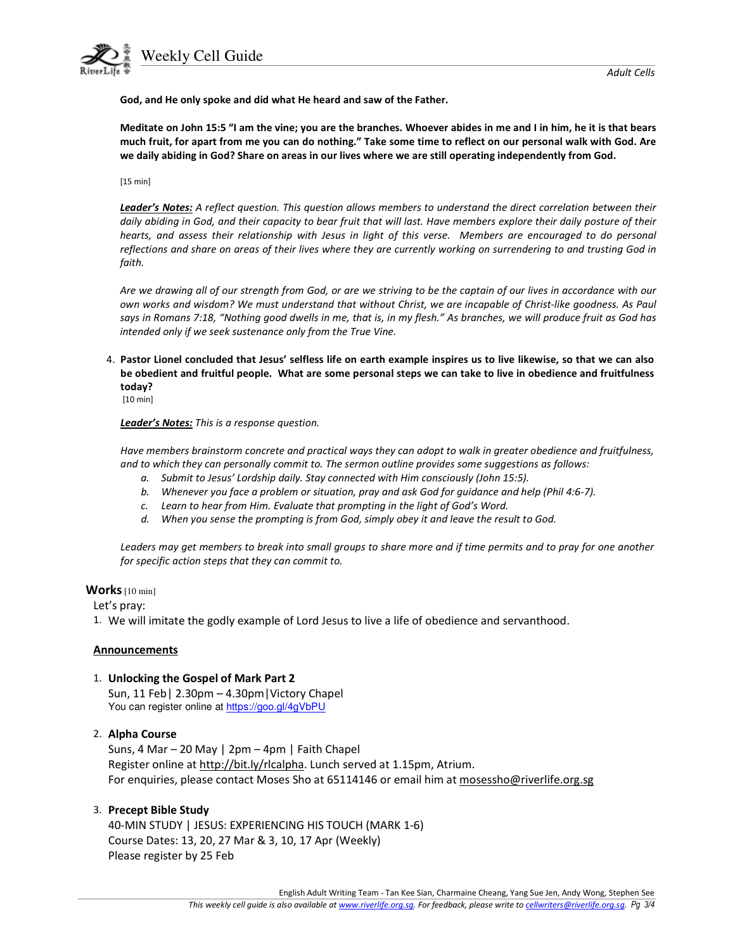

Weekly Cell Guide



God, and He only spoke and did what He heard and saw of the Father.

Meditate on John 15:5 "I am the vine; you are the branches. Whoever abides in me and I in him, he it is that bears much fruit, for apart from me you can do nothing." Take some time to reflect on our personal walk with God. Are we daily abiding in God? Share on areas in our lives where we are still operating independently from God.

[15 min]

Leader's Notes: A reflect question. This question allows members to understand the direct correlation between their daily abiding in God, and their capacity to bear fruit that will last. Have members explore their daily posture of their hearts, and assess their relationship with Jesus in light of this verse. Members are encouraged to do personal reflections and share on areas of their lives where they are currently working on surrendering to and trusting God in faith.

Are we drawing all of our strength from God, or are we striving to be the captain of our lives in accordance with our own works and wisdom? We must understand that without Christ, we are incapable of Christ-like goodness. As Paul says in Romans 7:18, "Nothing good dwells in me, that is, in my flesh." As branches, we will produce fruit as God has intended only if we seek sustenance only from the True Vine.

4. Pastor Lionel concluded that Jesus' selfless life on earth example inspires us to live likewise, so that we can also be obedient and fruitful people. What are some personal steps we can take to live in obedience and fruitfulness today?

[10 min]

Leader's Notes: This is a response question.

Have members brainstorm concrete and practical ways they can adopt to walk in greater obedience and fruitfulness, and to which they can personally commit to. The sermon outline provides some suggestions as follows:

- a. Submit to Jesus' Lordship daily. Stay connected with Him consciously (John 15:5).
- b. Whenever you face a problem or situation, pray and ask God for guidance and help (Phil 4:6-7).
- c. Learn to hear from Him. Evaluate that prompting in the light of God's Word.
- d. When you sense the prompting is from God, simply obey it and leave the result to God.

Leaders may get members to break into small groups to share more and if time permits and to pray for one another for specific action steps that they can commit to.

# Works [10 min]

Let's pray:

1. We will imitate the godly example of Lord Jesus to live a life of obedience and servanthood.

# **Announcements**

# 1. Unlocking the Gospel of Mark Part 2

Sun, 11 Feb| 2.30pm – 4.30pm|Victory Chapel You can register online at https://goo.gl/4gVbPU

# 2. Alpha Course

Suns, 4 Mar – 20 May | 2pm – 4pm | Faith Chapel Register online at http://bit.ly/rlcalpha. Lunch served at 1.15pm, Atrium. For enquiries, please contact Moses Sho at 65114146 or email him at mosessho@riverlife.org.sg

# 3. Precept Bible Study

40-MIN STUDY | JESUS: EXPERIENCING HIS TOUCH (MARK 1-6) Course Dates: 13, 20, 27 Mar & 3, 10, 17 Apr (Weekly) Please register by 25 Feb